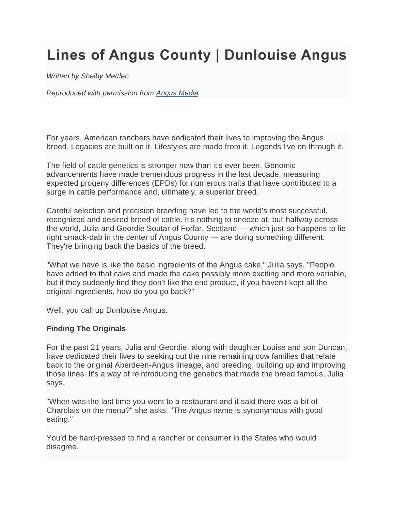# **Lines of Angus County | Dunlouise Angus**

*Written by Shelby Mettlen*

*Reproduced with permission from [Angus Media](https://www.angus.org/Media/About/Default.aspx)*

For years, American ranchers have dedicated their lives to improving the Angus breed. Legacies are built on it. Lifestyles are made from it. Legends live on through it.

The field of cattle genetics is stronger now than it's ever been. Genomic advancements have made tremendous progress in the last decade, measuring expected progeny differences (EPDs) for numerous traits that have contributed to a surge in cattle performance and, ultimately, a superior breed.

Careful selection and precision breeding have led to the world's most successful, recognized and desired breed of cattle. It's nothing to sneeze at, but halfway across the world, Julia and Geordie Soutar of Forfar, Scotland — which just so happens to lie right smack-dab in the center of Angus County — are doing something different: They're bringing back the basics of the breed.

"What we have is like the basic ingredients of the Angus cake," Julia says. "People have added to that cake and made the cake possibly more exciting and more variable, but if they suddenly find they don't like the end product, if you haven't kept all the original ingredients, how do you go back?"

Well, you call up Dunlouise Angus.

### **Finding The Originals**

For the past 21 years, Julia and Geordie, along with daughter Louise and son Duncan, have dedicated their lives to seeking out the nine remaining cow families that relate back to the original Aberdeen-Angus lineage, and breeding, building up and improving those lines. It's a way of reintroducing the genetics that made the breed famous, Julia says.

"When was the last time you went to a restaurant and it said there was a bit of Charolais on the menu?" she asks. "The Angus name is synonymous with good eating."

You'd be hard-pressed to find a rancher or consumer in the States who would disagree.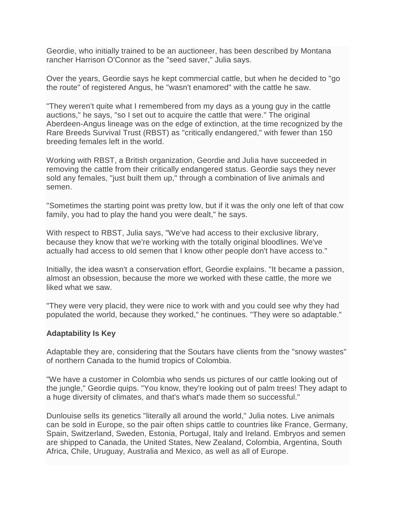Geordie, who initially trained to be an auctioneer, has been described by Montana rancher Harrison O'Connor as the "seed saver," Julia says.

Over the years, Geordie says he kept commercial cattle, but when he decided to "go the route" of registered Angus, he "wasn't enamored" with the cattle he saw.

"They weren't quite what I remembered from my days as a young guy in the cattle auctions," he says, "so I set out to acquire the cattle that were." The original Aberdeen-Angus lineage was on the edge of extinction, at the time recognized by the Rare Breeds Survival Trust (RBST) as "critically endangered," with fewer than 150 breeding females left in the world.

Working with RBST, a British organization, Geordie and Julia have succeeded in removing the cattle from their critically endangered status. Geordie says they never sold any females, "just built them up," through a combination of live animals and semen.

"Sometimes the starting point was pretty low, but if it was the only one left of that cow family, you had to play the hand you were dealt," he says.

With respect to RBST, Julia says, "We've had access to their exclusive library, because they know that we're working with the totally original bloodlines. We've actually had access to old semen that I know other people don't have access to."

Initially, the idea wasn't a conservation effort, Geordie explains. "It became a passion, almost an obsession, because the more we worked with these cattle, the more we liked what we saw.

"They were very placid, they were nice to work with and you could see why they had populated the world, because they worked," he continues. "They were so adaptable."

### **Adaptability Is Key**

Adaptable they are, considering that the Soutars have clients from the "snowy wastes" of northern Canada to the humid tropics of Colombia.

"We have a customer in Colombia who sends us pictures of our cattle looking out of the jungle," Geordie quips. "You know, they're looking out of palm trees! They adapt to a huge diversity of climates, and that's what's made them so successful."

Dunlouise sells its genetics "literally all around the world," Julia notes. Live animals can be sold in Europe, so the pair often ships cattle to countries like France, Germany, Spain, Switzerland, Sweden, Estonia, Portugal, Italy and Ireland. Embryos and semen are shipped to Canada, the United States, New Zealand, Colombia, Argentina, South Africa, Chile, Uruguay, Australia and Mexico, as well as all of Europe.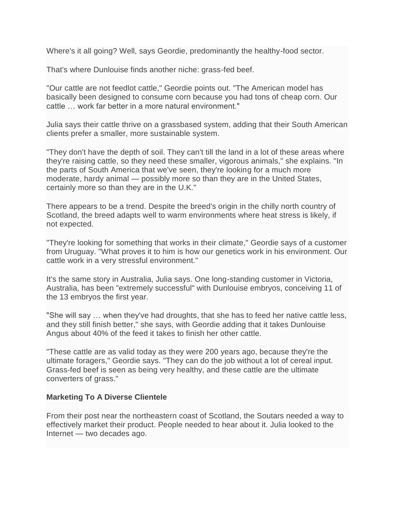Where's it all going? Well, says Geordie, predominantly the healthy-food sector.

That's where Dunlouise finds another niche: grass-fed beef.

"Our cattle are not feedlot cattle," Geordie points out. "The American model has basically been designed to consume corn because you had tons of cheap corn. Our cattle … work far better in a more natural environment."

Julia says their cattle thrive on a grassbased system, adding that their South American clients prefer a smaller, more sustainable system.

"They don't have the depth of soil. They can't till the land in a lot of these areas where they're raising cattle, so they need these smaller, vigorous animals," she explains. "In the parts of South America that we've seen, they're looking for a much more moderate, hardy animal — possibly more so than they are in the United States, certainly more so than they are in the U.K."

There appears to be a trend. Despite the breed's origin in the chilly north country of Scotland, the breed adapts well to warm environments where heat stress is likely, if not expected.

"They're looking for something that works in their climate," Geordie says of a customer from Uruguay. "What proves it to him is how our genetics work in his environment. Our cattle work in a very stressful environment."

It's the same story in Australia, Julia says. One long-standing customer in Victoria, Australia, has been "extremely successful" with Dunlouise embryos, conceiving 11 of the 13 embryos the first year.

"She will say … when they've had droughts, that she has to feed her native cattle less, and they still finish better," she says, with Geordie adding that it takes Dunlouise Angus about 40% of the feed it takes to finish her other cattle.

"These cattle are as valid today as they were 200 years ago, because they're the ultimate foragers," Geordie says. "They can do the job without a lot of cereal input. Grass-fed beef is seen as being very healthy, and these cattle are the ultimate converters of grass."

### **Marketing To A Diverse Clientele**

From their post near the northeastern coast of Scotland, the Soutars needed a way to effectively market their product. People needed to hear about it. Julia looked to the Internet — two decades ago.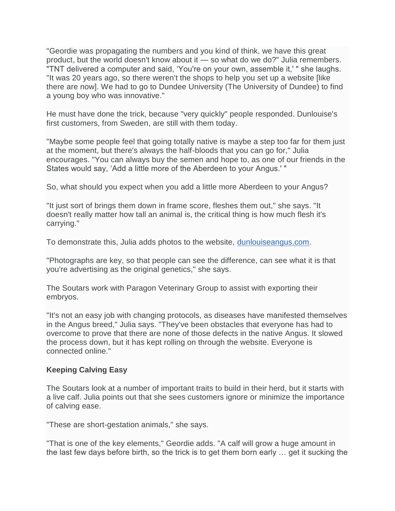"Geordie was propagating the numbers and you kind of think, we have this great product, but the world doesn't know about it — so what do we do?" Julia remembers. "TNT delivered a computer and said, 'You're on your own, assemble it,' " she laughs. "It was 20 years ago, so there weren't the shops to help you set up a website [like there are now]. We had to go to Dundee University (The University of Dundee) to find a young boy who was innovative."

He must have done the trick, because "very quickly" people responded. Dunlouise's first customers, from Sweden, are still with them today.

"Maybe some people feel that going totally native is maybe a step too far for them just at the moment, but there's always the half-bloods that you can go for," Julia encourages. "You can always buy the semen and hope to, as one of our friends in the States would say, 'Add a little more of the Aberdeen to your Angus.' "

So, what should you expect when you add a little more Aberdeen to your Angus?

"It just sort of brings them down in frame score, fleshes them out," she says. "It doesn't really matter how tall an animal is, the critical thing is how much flesh it's carrying."

To demonstrate this, Julia adds photos to the website, [dunlouiseangus.com.](http://www.dunlouiseangus.com/)

"Photographs are key, so that people can see the difference, can see what it is that you're advertising as the original genetics," she says.

The Soutars work with Paragon Veterinary Group to assist with exporting their embryos.

"It's not an easy job with changing protocols, as diseases have manifested themselves in the Angus breed," Julia says. "They've been obstacles that everyone has had to overcome to prove that there are none of those defects in the native Angus. It slowed the process down, but it has kept rolling on through the website. Everyone is connected online."

## **Keeping Calving Easy**

The Soutars look at a number of important traits to build in their herd, but it starts with a live calf. Julia points out that she sees customers ignore or minimize the importance of calving ease.

"These are short-gestation animals," she says.

"That is one of the key elements," Geordie adds. "A calf will grow a huge amount in the last few days before birth, so the trick is to get them born early … get it sucking the